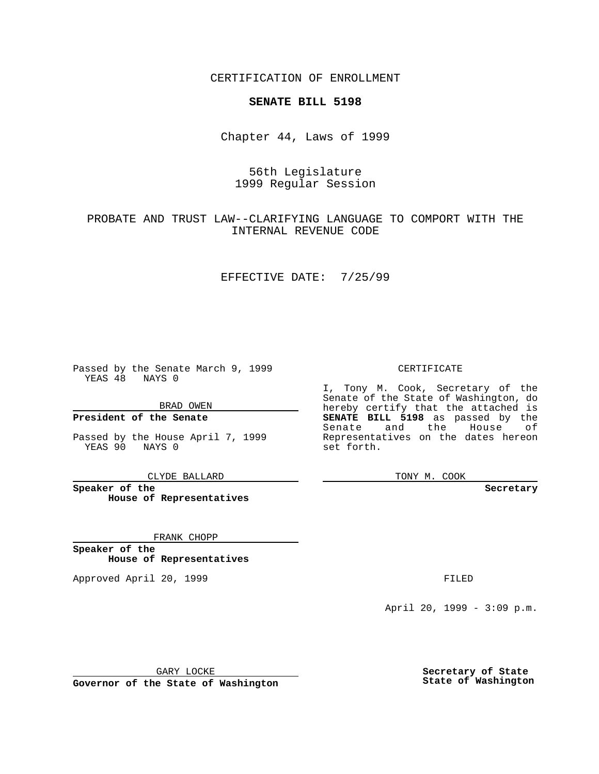CERTIFICATION OF ENROLLMENT

# **SENATE BILL 5198**

Chapter 44, Laws of 1999

# 56th Legislature 1999 Regular Session

## PROBATE AND TRUST LAW--CLARIFYING LANGUAGE TO COMPORT WITH THE INTERNAL REVENUE CODE

#### EFFECTIVE DATE: 7/25/99

Passed by the Senate March 9, 1999 YEAS 48 NAYS 0

BRAD OWEN

**President of the Senate**

Passed by the House April 7, 1999 YEAS 90 NAYS 0

CLYDE BALLARD

**Speaker of the House of Representatives**

FRANK CHOPP

**Speaker of the House of Representatives**

Approved April 20, 1999 **FILED** 

### CERTIFICATE

I, Tony M. Cook, Secretary of the Senate of the State of Washington, do hereby certify that the attached is **SENATE BILL 5198** as passed by the Senate and the House of Representatives on the dates hereon set forth.

TONY M. COOK

**Secretary**

April 20, 1999 - 3:09 p.m.

GARY LOCKE

**Governor of the State of Washington**

**Secretary of State State of Washington**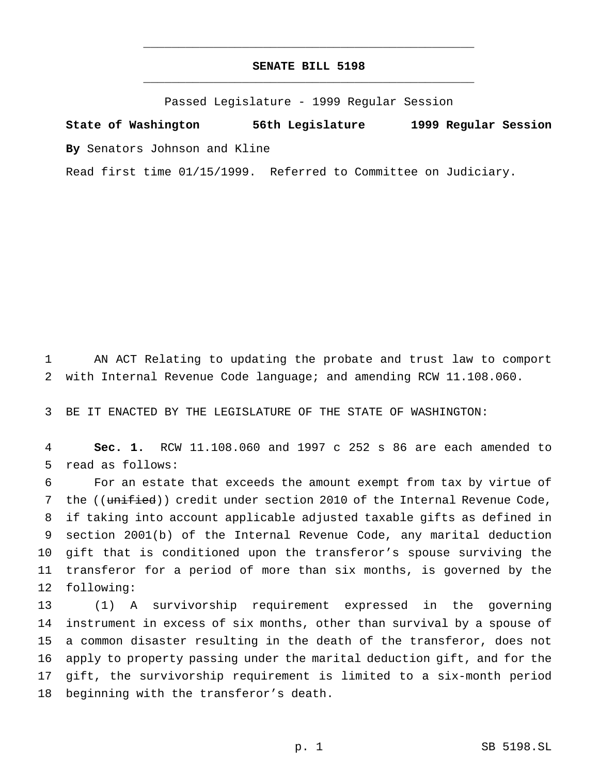### **SENATE BILL 5198** \_\_\_\_\_\_\_\_\_\_\_\_\_\_\_\_\_\_\_\_\_\_\_\_\_\_\_\_\_\_\_\_\_\_\_\_\_\_\_\_\_\_\_\_\_\_\_

\_\_\_\_\_\_\_\_\_\_\_\_\_\_\_\_\_\_\_\_\_\_\_\_\_\_\_\_\_\_\_\_\_\_\_\_\_\_\_\_\_\_\_\_\_\_\_

Passed Legislature - 1999 Regular Session

**State of Washington 56th Legislature 1999 Regular Session By** Senators Johnson and Kline

Read first time 01/15/1999. Referred to Committee on Judiciary.

 AN ACT Relating to updating the probate and trust law to comport with Internal Revenue Code language; and amending RCW 11.108.060.

BE IT ENACTED BY THE LEGISLATURE OF THE STATE OF WASHINGTON:

 **Sec. 1.** RCW 11.108.060 and 1997 c 252 s 86 are each amended to read as follows:

 For an estate that exceeds the amount exempt from tax by virtue of 7 the ((unified)) credit under section 2010 of the Internal Revenue Code, if taking into account applicable adjusted taxable gifts as defined in section 2001(b) of the Internal Revenue Code, any marital deduction gift that is conditioned upon the transferor's spouse surviving the transferor for a period of more than six months, is governed by the following:

 (1) A survivorship requirement expressed in the governing instrument in excess of six months, other than survival by a spouse of a common disaster resulting in the death of the transferor, does not apply to property passing under the marital deduction gift, and for the gift, the survivorship requirement is limited to a six-month period beginning with the transferor's death.